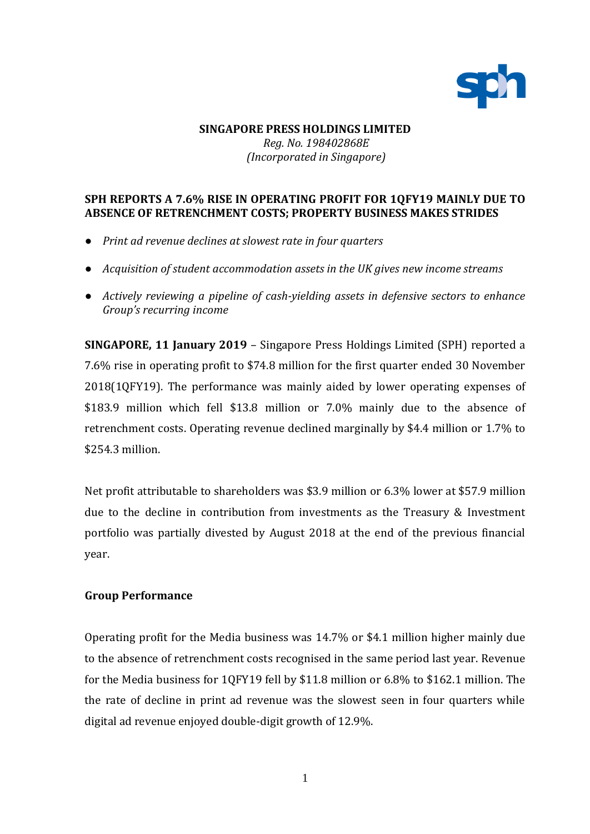

## **SINGAPORE PRESS HOLDINGS LIMITED** *Reg. No. 198402868E (Incorporated in Singapore)*

## **SPH REPORTS A 7.6% RISE IN OPERATING PROFIT FOR 1QFY19 MAINLY DUE TO ABSENCE OF RETRENCHMENT COSTS; PROPERTY BUSINESS MAKES STRIDES**

- *Print ad revenue declines at slowest rate in four quarters*
- *Acquisition of student accommodation assets in the UK gives new income streams*
- *Actively reviewing a pipeline of cash-yielding assets in defensive sectors to enhance Group's recurring income*

**SINGAPORE, 11 January 2019** – Singapore Press Holdings Limited (SPH) reported a 7.6% rise in operating profit to \$74.8 million for the first quarter ended 30 November 2018(1QFY19). The performance was mainly aided by lower operating expenses of \$183.9 million which fell \$13.8 million or 7.0% mainly due to the absence of retrenchment costs. Operating revenue declined marginally by \$4.4 million or 1.7% to \$254.3 million.

Net profit attributable to shareholders was \$3.9 million or 6.3% lower at \$57.9 million due to the decline in contribution from investments as the Treasury & Investment portfolio was partially divested by August 2018 at the end of the previous financial year.

### **Group Performance**

Operating profit for the Media business was 14.7% or \$4.1 million higher mainly due to the absence of retrenchment costs recognised in the same period last year. Revenue for the Media business for 1QFY19 fell by \$11.8 million or 6.8% to \$162.1 million. The the rate of decline in print ad revenue was the slowest seen in four quarters while digital ad revenue enjoyed double-digit growth of 12.9%.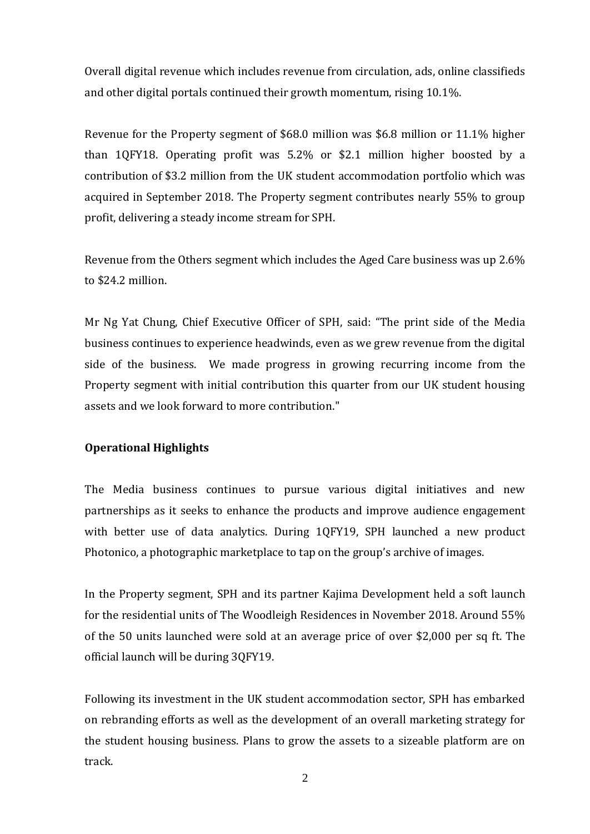Overall digital revenue which includes revenue from circulation, ads, online classifieds and other digital portals continued their growth momentum, rising 10.1%.

Revenue for the Property segment of \$68.0 million was \$6.8 million or 11.1% higher than 1QFY18. Operating profit was 5.2% or \$2.1 million higher boosted by a contribution of \$3.2 million from the UK student accommodation portfolio which was acquired in September 2018. The Property segment contributes nearly 55% to group profit, delivering a steady income stream for SPH.

Revenue from the Others segment which includes the Aged Care business was up 2.6% to \$24.2 million.

Mr Ng Yat Chung, Chief Executive Officer of SPH, said: "The print side of the Media business continues to experience headwinds, even as we grew revenue from the digital side of the business. We made progress in growing recurring income from the Property segment with initial contribution this quarter from our UK student housing assets and we look forward to more contribution."

# **Operational Highlights**

The Media business continues to pursue various digital initiatives and new partnerships as it seeks to enhance the products and improve audience engagement with better use of data analytics. During 1QFY19, SPH launched a new product Photonico, a photographic marketplace to tap on the group's archive of images.

In the Property segment, SPH and its partner Kajima Development held a soft launch for the residential units of The Woodleigh Residences in November 2018. Around 55% of the 50 units launched were sold at an average price of over \$2,000 per sq ft. The official launch will be during 3QFY19.

Following its investment in the UK student accommodation sector, SPH has embarked on rebranding efforts as well as the development of an overall marketing strategy for the student housing business. Plans to grow the assets to a sizeable platform are on track.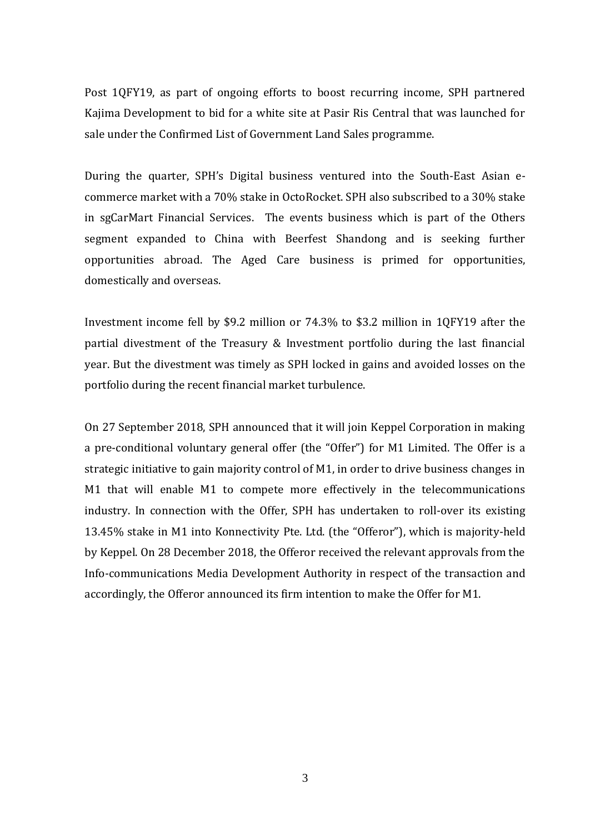Post 1QFY19, as part of ongoing efforts to boost recurring income, SPH partnered Kajima Development to bid for a white site at Pasir Ris Central that was launched for sale under the Confirmed List of Government Land Sales programme.

During the quarter, SPH's Digital business ventured into the South-East Asian ecommerce market with a 70% stake in OctoRocket. SPH also subscribed to a 30% stake in sgCarMart Financial Services. The events business which is part of the Others segment expanded to China with Beerfest Shandong and is seeking further opportunities abroad. The Aged Care business is primed for opportunities, domestically and overseas.

Investment income fell by \$9.2 million or 74.3% to \$3.2 million in 1QFY19 after the partial divestment of the Treasury & Investment portfolio during the last financial year. But the divestment was timely as SPH locked in gains and avoided losses on the portfolio during the recent financial market turbulence.

On 27 September 2018, SPH announced that it will join Keppel Corporation in making a pre-conditional voluntary general offer (the "Offer") for M1 Limited. The Offer is a strategic initiative to gain majority control of M1, in order to drive business changes in M1 that will enable M1 to compete more effectively in the telecommunications industry. In connection with the Offer, SPH has undertaken to roll-over its existing 13.45% stake in M1 into Konnectivity Pte. Ltd. (the "Offeror"), which is majority-held by Keppel. On 28 December 2018, the Offeror received the relevant approvals from the Info-communications Media Development Authority in respect of the transaction and accordingly, the Offeror announced its firm intention to make the Offer for M1.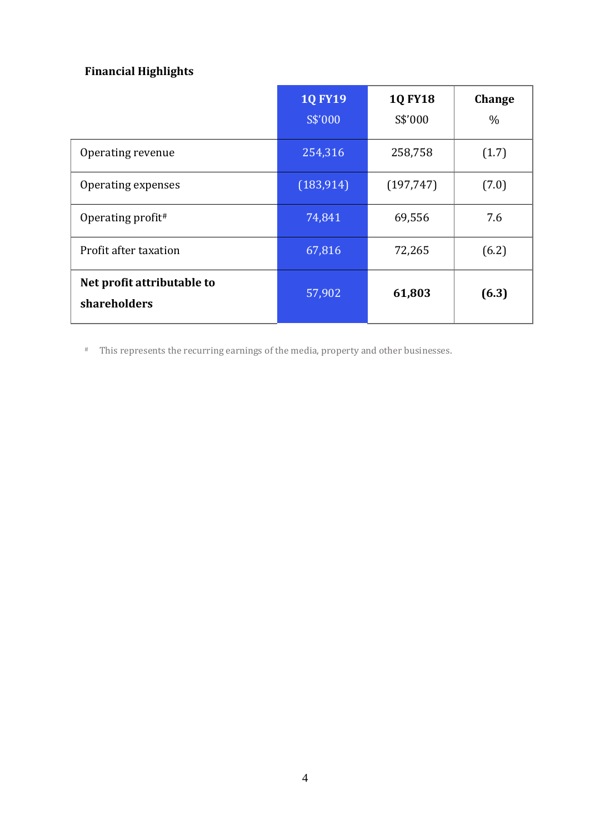# **Financial Highlights**

|                                            | <b>1Q FY19</b><br>S\$'000 | <b>1Q FY18</b><br>S\$'000 | <b>Change</b><br>$\%$ |
|--------------------------------------------|---------------------------|---------------------------|-----------------------|
| Operating revenue                          | 254,316                   | 258,758                   | (1.7)                 |
| Operating expenses                         | (183, 914)                | (197, 747)                | (7.0)                 |
| Operating profit#                          | 74,841                    | 69,556                    | 7.6                   |
| Profit after taxation                      | 67,816                    | 72,265                    | (6.2)                 |
| Net profit attributable to<br>shareholders | 57,902                    | 61,803                    | (6.3)                 |

# This represents the recurring earnings of the media, property and other businesses.